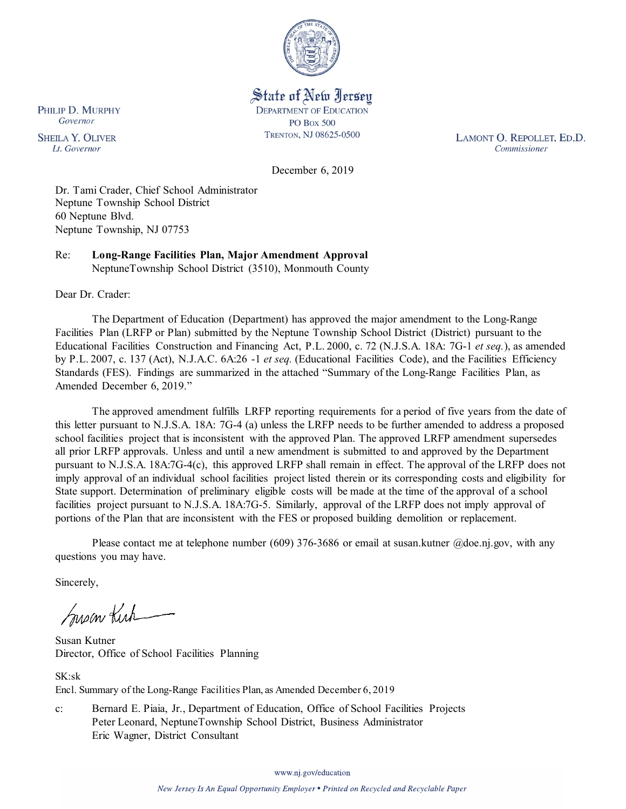

State of New Jersey **DEPARTMENT OF EDUCATION PO Box 500** TRENTON, NJ 08625-0500

LAMONT O. REPOLLET, ED.D. Commissioner

December 6, 2019

Dr. Tami Crader, Chief School Administrator Neptune Township School District 60 Neptune Blvd. Neptune Township, NJ 07753

Re: **Long-Range Facilities Plan, Major Amendment Approval** NeptuneTownship School District (3510), Monmouth County

Dear Dr. Crader:

The Department of Education (Department) has approved the major amendment to the Long-Range Facilities Plan (LRFP or Plan) submitted by the Neptune Township School District (District) pursuant to the Educational Facilities Construction and Financing Act, P.L. 2000, c. 72 (N.J.S.A. 18A: 7G-1 *et seq.*), as amended by P.L. 2007, c. 137 (Act), N.J.A.C. 6A:26 -1 *et seq.* (Educational Facilities Code), and the Facilities Efficiency Standards (FES). Findings are summarized in the attached "Summary of the Long-Range Facilities Plan, as Amended December 6, 2019."

The approved amendment fulfills LRFP reporting requirements for a period of five years from the date of this letter pursuant to N.J.S.A. 18A: 7G-4 (a) unless the LRFP needs to be further amended to address a proposed school facilities project that is inconsistent with the approved Plan. The approved LRFP amendment supersedes all prior LRFP approvals. Unless and until a new amendment is submitted to and approved by the Department pursuant to N.J.S.A. 18A:7G-4(c), this approved LRFP shall remain in effect. The approval of the LRFP does not imply approval of an individual school facilities project listed therein or its corresponding costs and eligibility for State support. Determination of preliminary eligible costs will be made at the time of the approval of a school facilities project pursuant to N.J.S.A. 18A:7G-5. Similarly, approval of the LRFP does not imply approval of portions of the Plan that are inconsistent with the FES or proposed building demolition or replacement.

Please contact me at telephone number (609) 376-3686 or email at susan.kutner @doe.nj.gov, with any questions you may have.

Sincerely,

Susan Kich

Susan Kutner Director, Office of School Facilities Planning

SK:sk Encl. Summary of the Long-Range Facilities Plan, as Amended December 6, 2019

c: Bernard E. Piaia, Jr., Department of Education, Office of School Facilities Projects Peter Leonard, NeptuneTownship School District, Business Administrator Eric Wagner, District Consultant

PHILIP D. MURPHY Governor

**SHEILA Y. OLIVER** Lt. Governor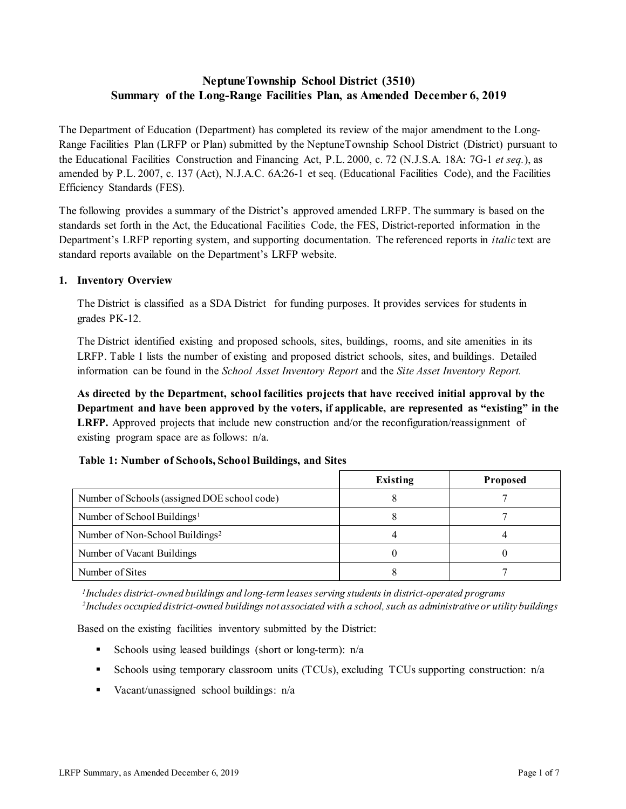# **NeptuneTownship School District (3510) Summary of the Long-Range Facilities Plan, as Amended December 6, 2019**

The Department of Education (Department) has completed its review of the major amendment to the Long-Range Facilities Plan (LRFP or Plan) submitted by the NeptuneTownship School District (District) pursuant to the Educational Facilities Construction and Financing Act, P.L. 2000, c. 72 (N.J.S.A. 18A: 7G-1 *et seq.*), as amended by P.L. 2007, c. 137 (Act), N.J.A.C. 6A:26-1 et seq. (Educational Facilities Code), and the Facilities Efficiency Standards (FES).

The following provides a summary of the District's approved amended LRFP. The summary is based on the standards set forth in the Act, the Educational Facilities Code, the FES, District-reported information in the Department's LRFP reporting system, and supporting documentation. The referenced reports in *italic* text are standard reports available on the Department's LRFP website.

## **1. Inventory Overview**

The District is classified as a SDA District for funding purposes. It provides services for students in grades PK-12.

The District identified existing and proposed schools, sites, buildings, rooms, and site amenities in its LRFP. Table 1 lists the number of existing and proposed district schools, sites, and buildings. Detailed information can be found in the *School Asset Inventory Report* and the *Site Asset Inventory Report.*

**As directed by the Department, school facilities projects that have received initial approval by the Department and have been approved by the voters, if applicable, are represented as "existing" in the LRFP.** Approved projects that include new construction and/or the reconfiguration/reassignment of existing program space are as follows: n/a.

|                                              | Existing | <b>Proposed</b> |
|----------------------------------------------|----------|-----------------|
| Number of Schools (assigned DOE school code) |          |                 |
| Number of School Buildings <sup>1</sup>      |          |                 |
| Number of Non-School Buildings <sup>2</sup>  |          |                 |
| Number of Vacant Buildings                   |          |                 |
| Number of Sites                              |          |                 |

## **Table 1: Number of Schools, School Buildings, and Sites**

*1Includes district-owned buildings and long-term leases serving students in district-operated programs 2Includes occupied district-owned buildings not associated with a school, such as administrative or utility buildings*

Based on the existing facilities inventory submitted by the District:

- Schools using leased buildings (short or long-term):  $n/a$
- Schools using temporary classroom units (TCUs), excluding TCUs supporting construction: n/a
- Vacant/unassigned school buildings: n/a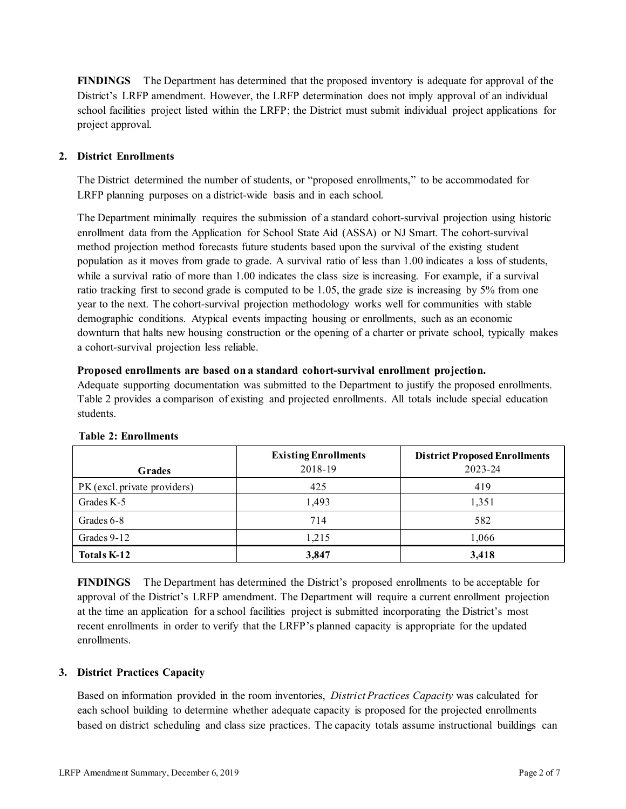**FINDINGS** The Department has determined that the proposed inventory is adequate for approval of the District's LRFP amendment. However, the LRFP determination does not imply approval of an individual school facilities project listed within the LRFP; the District must submit individual project applications for project approval.

## **2. District Enrollments**

The District determined the number of students, or "proposed enrollments," to be accommodated for LRFP planning purposes on a district-wide basis and in each school.

The Department minimally requires the submission of a standard cohort-survival projection using historic enrollment data from the Application for School State Aid (ASSA) or NJ Smart. The cohort-survival method projection method forecasts future students based upon the survival of the existing student population as it moves from grade to grade. A survival ratio of less than 1.00 indicates a loss of students, while a survival ratio of more than 1.00 indicates the class size is increasing. For example, if a survival ratio tracking first to second grade is computed to be 1.05, the grade size is increasing by 5% from one year to the next. The cohort-survival projection methodology works well for communities with stable demographic conditions. Atypical events impacting housing or enrollments, such as an economic downturn that halts new housing construction or the opening of a charter or private school, typically makes a cohort-survival projection less reliable.

#### **Proposed enrollments are based on a standard cohort-survival enrollment projection.**

Adequate supporting documentation was submitted to the Department to justify the proposed enrollments. Table 2 provides a comparison of existing and projected enrollments. All totals include special education students.

|                              | <b>Existing Enrollments</b> | <b>District Proposed Enrollments</b> |
|------------------------------|-----------------------------|--------------------------------------|
| <b>Grades</b>                | 2018-19                     | 2023-24                              |
| PK (excl. private providers) | 425                         | 419                                  |
| Grades K-5                   | 1,493                       | 1,351                                |
| Grades 6-8                   | 714                         | 582                                  |
| Grades 9-12                  | 1,215                       | 1,066                                |
| <b>Totals K-12</b>           | 3,847                       | 3,418                                |

## **Table 2: Enrollments**

**FINDINGS** The Department has determined the District's proposed enrollments to be acceptable for approval of the District's LRFP amendment. The Department will require a current enrollment projection at the time an application for a school facilities project is submitted incorporating the District's most recent enrollments in order to verify that the LRFP's planned capacity is appropriate for the updated enrollments.

## **3. District Practices Capacity**

Based on information provided in the room inventories, *District Practices Capacity* was calculated for each school building to determine whether adequate capacity is proposed for the projected enrollments based on district scheduling and class size practices. The capacity totals assume instructional buildings can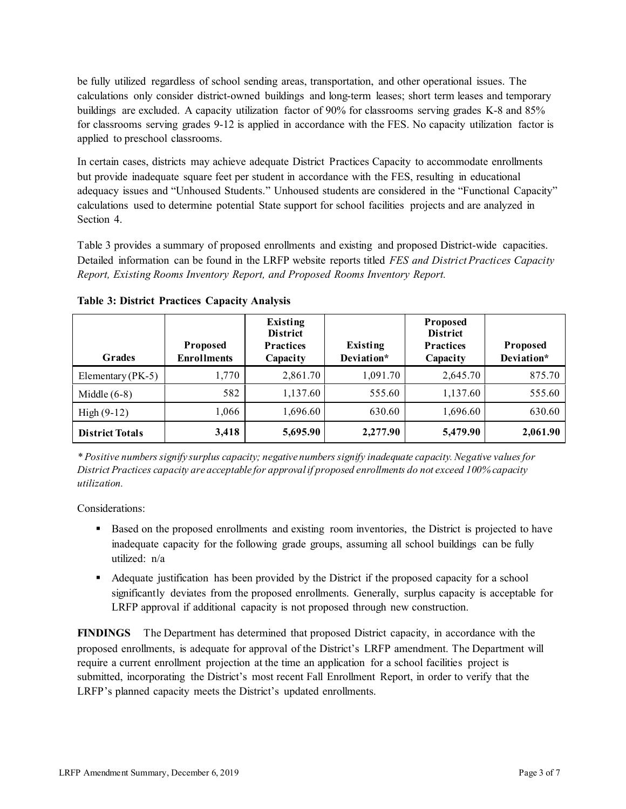be fully utilized regardless of school sending areas, transportation, and other operational issues. The calculations only consider district-owned buildings and long-term leases; short term leases and temporary buildings are excluded. A capacity utilization factor of 90% for classrooms serving grades K-8 and 85% for classrooms serving grades 9-12 is applied in accordance with the FES. No capacity utilization factor is applied to preschool classrooms.

In certain cases, districts may achieve adequate District Practices Capacity to accommodate enrollments but provide inadequate square feet per student in accordance with the FES, resulting in educational adequacy issues and "Unhoused Students." Unhoused students are considered in the "Functional Capacity" calculations used to determine potential State support for school facilities projects and are analyzed in Section 4.

Table 3 provides a summary of proposed enrollments and existing and proposed District-wide capacities. Detailed information can be found in the LRFP website reports titled *FES and District Practices Capacity Report, Existing Rooms Inventory Report, and Proposed Rooms Inventory Report.*

| <b>Grades</b>          | <b>Proposed</b><br><b>Enrollments</b> | Existing<br><b>District</b><br><b>Practices</b><br>Capacity | Existing<br>Deviation* | Proposed<br><b>District</b><br><b>Practices</b><br>Capacity | Proposed<br>Deviation* |
|------------------------|---------------------------------------|-------------------------------------------------------------|------------------------|-------------------------------------------------------------|------------------------|
| Elementary $(PK-5)$    | 1,770                                 | 2,861.70                                                    | 1,091.70               | 2,645.70                                                    | 875.70                 |
| Middle $(6-8)$         | 582                                   | 1,137.60                                                    | 555.60                 | 1,137.60                                                    | 555.60                 |
| High $(9-12)$          | 1,066                                 | 1,696.60                                                    | 630.60                 | 1,696.60                                                    | 630.60                 |
| <b>District Totals</b> | 3,418                                 | 5,695.90                                                    | 2,277.90               | 5,479.90                                                    | 2,061.90               |

**Table 3: District Practices Capacity Analysis**

*\* Positive numbers signify surplus capacity; negative numbers signify inadequate capacity. Negative values for District Practices capacity are acceptable for approvalif proposed enrollments do not exceed 100% capacity utilization.*

Considerations:

- Based on the proposed enrollments and existing room inventories, the District is projected to have inadequate capacity for the following grade groups, assuming all school buildings can be fully utilized: n/a
- Adequate justification has been provided by the District if the proposed capacity for a school significantly deviates from the proposed enrollments. Generally, surplus capacity is acceptable for LRFP approval if additional capacity is not proposed through new construction.

**FINDINGS**The Department has determined that proposed District capacity, in accordance with the proposed enrollments, is adequate for approval of the District's LRFP amendment. The Department will require a current enrollment projection at the time an application for a school facilities project is submitted, incorporating the District's most recent Fall Enrollment Report, in order to verify that the LRFP's planned capacity meets the District's updated enrollments.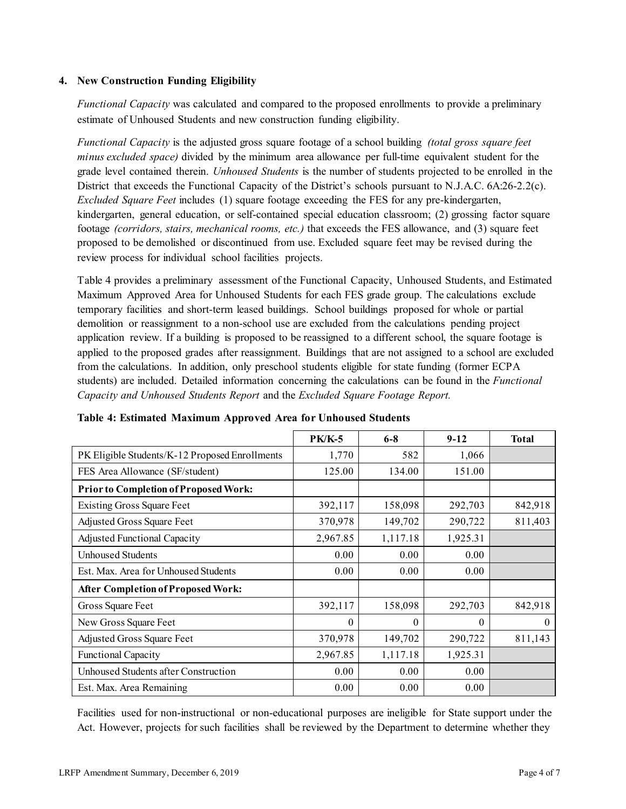## **4. New Construction Funding Eligibility**

*Functional Capacity* was calculated and compared to the proposed enrollments to provide a preliminary estimate of Unhoused Students and new construction funding eligibility.

*Functional Capacity* is the adjusted gross square footage of a school building *(total gross square feet minus excluded space)* divided by the minimum area allowance per full-time equivalent student for the grade level contained therein. *Unhoused Students* is the number of students projected to be enrolled in the District that exceeds the Functional Capacity of the District's schools pursuant to N.J.A.C. 6A:26-2.2(c). *Excluded Square Feet* includes (1) square footage exceeding the FES for any pre-kindergarten, kindergarten, general education, or self-contained special education classroom; (2) grossing factor square footage *(corridors, stairs, mechanical rooms, etc.)* that exceeds the FES allowance, and (3) square feet proposed to be demolished or discontinued from use. Excluded square feet may be revised during the review process for individual school facilities projects.

Table 4 provides a preliminary assessment of the Functional Capacity, Unhoused Students, and Estimated Maximum Approved Area for Unhoused Students for each FES grade group. The calculations exclude temporary facilities and short-term leased buildings. School buildings proposed for whole or partial demolition or reassignment to a non-school use are excluded from the calculations pending project application review. If a building is proposed to be reassigned to a different school, the square footage is applied to the proposed grades after reassignment. Buildings that are not assigned to a school are excluded from the calculations. In addition, only preschool students eligible for state funding (former ECPA students) are included. Detailed information concerning the calculations can be found in the *Functional Capacity and Unhoused Students Report* and the *Excluded Square Footage Report.*

|                                                | <b>PK/K-5</b> | $6 - 8$  | $9-12$   | <b>Total</b> |
|------------------------------------------------|---------------|----------|----------|--------------|
| PK Eligible Students/K-12 Proposed Enrollments | 1,770         | 582      | 1,066    |              |
| FES Area Allowance (SF/student)                | 125.00        | 134.00   | 151.00   |              |
| Prior to Completion of Proposed Work:          |               |          |          |              |
| <b>Existing Gross Square Feet</b>              | 392,117       | 158,098  | 292,703  | 842,918      |
| Adjusted Gross Square Feet                     | 370,978       | 149,702  | 290,722  | 811,403      |
| <b>Adjusted Functional Capacity</b>            | 2,967.85      | 1,117.18 | 1,925.31 |              |
| Unhoused Students                              | 0.00          | 0.00     | 0.00     |              |
| Est. Max. Area for Unhoused Students           | 0.00          | 0.00     | 0.00     |              |
| <b>After Completion of Proposed Work:</b>      |               |          |          |              |
| Gross Square Feet                              | 392,117       | 158,098  | 292,703  | 842,918      |
| New Gross Square Feet                          | $\theta$      | 0        | $\theta$ | $\theta$     |
| Adjusted Gross Square Feet                     | 370,978       | 149,702  | 290,722  | 811,143      |
| <b>Functional Capacity</b>                     | 2,967.85      | 1,117.18 | 1,925.31 |              |
| Unhoused Students after Construction           | 0.00          | 0.00     | 0.00     |              |
| Est. Max. Area Remaining                       | 0.00          | 0.00     | 0.00     |              |

**Table 4: Estimated Maximum Approved Area for Unhoused Students**

Facilities used for non-instructional or non-educational purposes are ineligible for State support under the Act. However, projects for such facilities shall be reviewed by the Department to determine whether they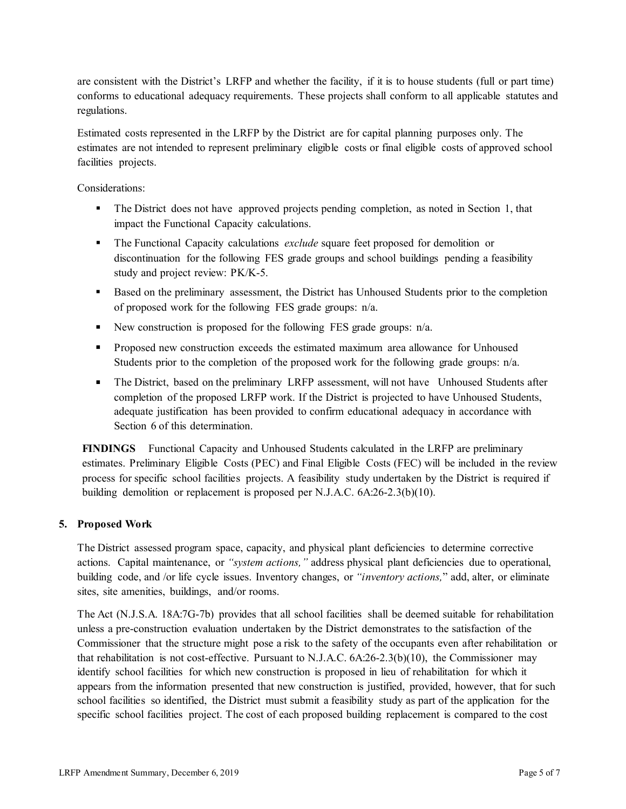are consistent with the District's LRFP and whether the facility, if it is to house students (full or part time) conforms to educational adequacy requirements. These projects shall conform to all applicable statutes and regulations.

Estimated costs represented in the LRFP by the District are for capital planning purposes only. The estimates are not intended to represent preliminary eligible costs or final eligible costs of approved school facilities projects.

Considerations:

- The District does not have approved projects pending completion, as noted in Section 1, that impact the Functional Capacity calculations.
- The Functional Capacity calculations *exclude* square feet proposed for demolition or discontinuation for the following FES grade groups and school buildings pending a feasibility study and project review: PK/K-5.
- Based on the preliminary assessment, the District has Unhoused Students prior to the completion of proposed work for the following FES grade groups: n/a.
- New construction is proposed for the following FES grade groups:  $n/a$ .
- Proposed new construction exceeds the estimated maximum area allowance for Unhoused Students prior to the completion of the proposed work for the following grade groups: n/a.
- The District, based on the preliminary LRFP assessment, will not have Unhoused Students after completion of the proposed LRFP work. If the District is projected to have Unhoused Students, adequate justification has been provided to confirm educational adequacy in accordance with Section 6 of this determination.

**FINDINGS** Functional Capacity and Unhoused Students calculated in the LRFP are preliminary estimates. Preliminary Eligible Costs (PEC) and Final Eligible Costs (FEC) will be included in the review process for specific school facilities projects. A feasibility study undertaken by the District is required if building demolition or replacement is proposed per N.J.A.C. 6A:26-2.3(b)(10).

## **5. Proposed Work**

The District assessed program space, capacity, and physical plant deficiencies to determine corrective actions. Capital maintenance, or *"system actions,"* address physical plant deficiencies due to operational, building code, and /or life cycle issues. Inventory changes, or *"inventory actions,*" add, alter, or eliminate sites, site amenities, buildings, and/or rooms.

The Act (N.J.S.A. 18A:7G-7b) provides that all school facilities shall be deemed suitable for rehabilitation unless a pre-construction evaluation undertaken by the District demonstrates to the satisfaction of the Commissioner that the structure might pose a risk to the safety of the occupants even after rehabilitation or that rehabilitation is not cost-effective. Pursuant to N.J.A.C. 6A:26-2.3(b)(10), the Commissioner may identify school facilities for which new construction is proposed in lieu of rehabilitation for which it appears from the information presented that new construction is justified, provided, however, that for such school facilities so identified, the District must submit a feasibility study as part of the application for the specific school facilities project. The cost of each proposed building replacement is compared to the cost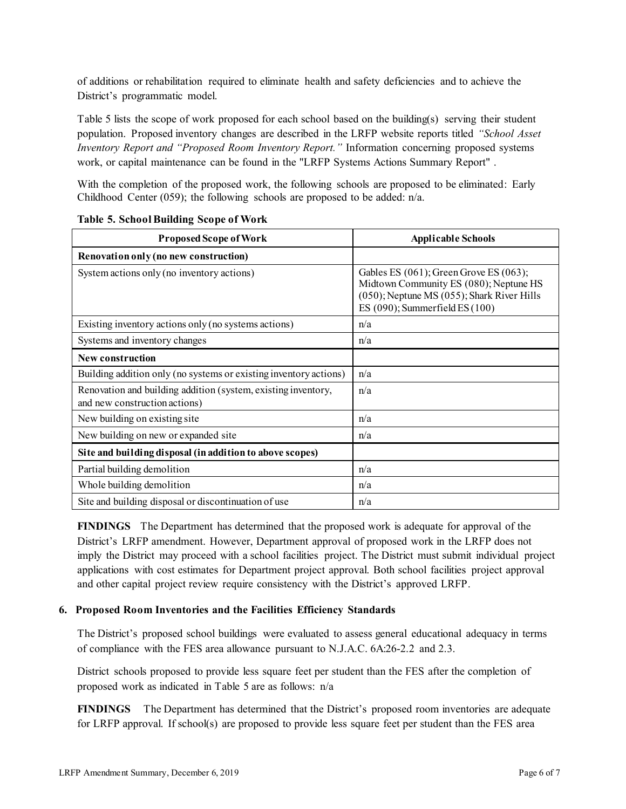of additions or rehabilitation required to eliminate health and safety deficiencies and to achieve the District's programmatic model.

Table 5 lists the scope of work proposed for each school based on the building(s) serving their student population. Proposed inventory changes are described in the LRFP website reports titled *"School Asset Inventory Report and "Proposed Room Inventory Report."* Information concerning proposed systems work, or capital maintenance can be found in the "LRFP Systems Actions Summary Report" .

With the completion of the proposed work, the following schools are proposed to be eliminated: Early Childhood Center (059); the following schools are proposed to be added: n/a.

| <b>Proposed Scope of Work</b>                                                                  | <b>Applicable Schools</b>                                                                                                                                                         |
|------------------------------------------------------------------------------------------------|-----------------------------------------------------------------------------------------------------------------------------------------------------------------------------------|
| Renovation only (no new construction)                                                          |                                                                                                                                                                                   |
| System actions only (no inventory actions)                                                     | Gables ES $(061)$ ; Green Grove ES $(063)$ ;<br>Midtown Community ES (080); Neptune HS<br>$(050)$ ; Neptune MS $(055)$ ; Shark River Hills<br>ES $(090)$ ; Summerfield ES $(100)$ |
| Existing inventory actions only (no systems actions)                                           | n/a                                                                                                                                                                               |
| Systems and inventory changes                                                                  | n/a                                                                                                                                                                               |
| <b>New construction</b>                                                                        |                                                                                                                                                                                   |
| Building addition only (no systems or existing inventory actions)                              | n/a                                                                                                                                                                               |
| Renovation and building addition (system, existing inventory,<br>and new construction actions) | n/a                                                                                                                                                                               |
| New building on existing site                                                                  | n/a                                                                                                                                                                               |
| New building on new or expanded site                                                           | n/a                                                                                                                                                                               |
| Site and building disposal (in addition to above scopes)                                       |                                                                                                                                                                                   |
| Partial building demolition                                                                    | n/a                                                                                                                                                                               |
| Whole building demolition                                                                      | n/a                                                                                                                                                                               |
| Site and building disposal or discontinuation of use                                           | n/a                                                                                                                                                                               |

#### **Table 5. School Building Scope of Work**

**FINDINGS** The Department has determined that the proposed work is adequate for approval of the District's LRFP amendment. However, Department approval of proposed work in the LRFP does not imply the District may proceed with a school facilities project. The District must submit individual project applications with cost estimates for Department project approval. Both school facilities project approval and other capital project review require consistency with the District's approved LRFP.

## **6. Proposed Room Inventories and the Facilities Efficiency Standards**

The District's proposed school buildings were evaluated to assess general educational adequacy in terms of compliance with the FES area allowance pursuant to N.J.A.C. 6A:26-2.2 and 2.3.

District schools proposed to provide less square feet per student than the FES after the completion of proposed work as indicated in Table 5 are as follows: n/a

**FINDINGS** The Department has determined that the District's proposed room inventories are adequate for LRFP approval. If school(s) are proposed to provide less square feet per student than the FES area